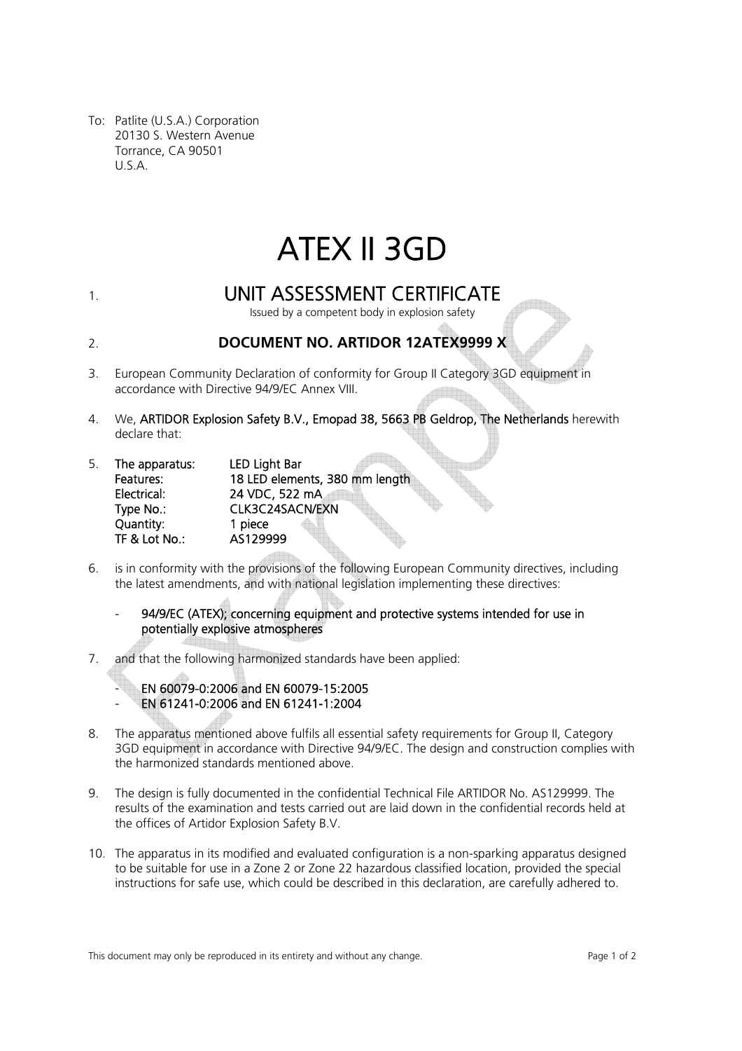To: Patlite (U.S.A.) Corporation 20130 S. Western Avenue Torrance, CA 90501 U.S.A.

# ATEX II 3GD

## 1. UNIT ASSESSMENT CERTIFICATE

Issued by a competent body in explosion safety

2. **DOCUMENT NO. ARTIDOR 12ATEX9999 X**

- 3. European Community Declaration of conformity for Group II Category 3GD equipment in accordance with Directive 94/9/EC Annex VIII.
- 4. We, ARTIDOR Explosion Safety B.V., Emopad 38, 5663 PB Geldrop, The Netherlands herewith declare that:

| 5. | The apparatus: | <b>LED Light Bar</b>           |
|----|----------------|--------------------------------|
|    | Features:      | 18 LED elements, 380 mm length |
|    | Electrical:    | 24 VDC, 522 mA                 |
|    | Type No.:      | CLK3C24SACN/EXN                |
|    | Quantity:      | 1 piece                        |
|    | TF & Lot No.:  | AS129999                       |

6. is in conformity with the provisions of the following European Community directives, including the latest amendments, and with national legislation implementing these directives:

94/9/EC (ATEX); concerning equipment and protective systems intended for use in potentially explosive atmospheres

7. and that the following harmonized standards have been applied:

EN 60079-0:2006 and EN 60079-15:2005 - EN 61241-0:2006 and EN 61241-1:2004

- 8. The apparatus mentioned above fulfils all essential safety requirements for Group II, Category 3GD equipment in accordance with Directive 94/9/EC. The design and construction complies with the harmonized standards mentioned above.
- 9. The design is fully documented in the confidential Technical File ARTIDOR No. AS129999. The results of the examination and tests carried out are laid down in the confidential records held at the offices of Artidor Explosion Safety B.V.
- 10. The apparatus in its modified and evaluated configuration is a non-sparking apparatus designed to be suitable for use in a Zone 2 or Zone 22 hazardous classified location, provided the special instructions for safe use, which could be described in this declaration, are carefully adhered to.